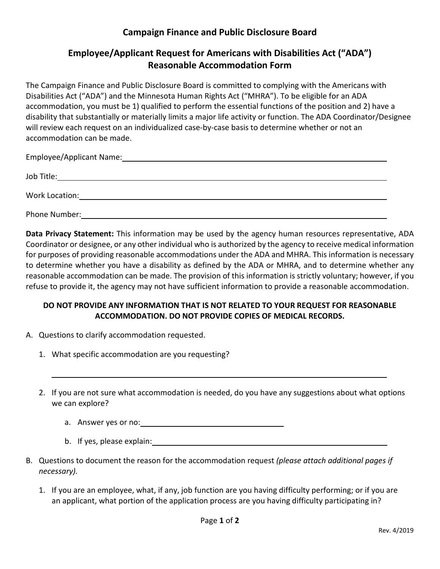## **Campaign Finance and Public Disclosure Board**

## **Employee/Applicant Request for Americans with Disabilities Act ("ADA") Reasonable Accommodation Form**

The Campaign Finance and Public Disclosure Board is committed to complying with the Americans with Disabilities Act ("ADA") and the Minnesota Human Rights Act ("MHRA"). To be eligible for an ADA accommodation, you must be 1) qualified to perform the essential functions of the position and 2) have a disability that substantially or materially limits a major life activity or function. The ADA Coordinator/Designee will review each request on an individualized case-by-case basis to determine whether or not an accommodation can be made.

Employee/Applicant Name: Job Title:

Phone Number: The Contract of the Contract of The Contract of The Contract of The Contract of The Contract of The Contract of The Contract of The Contract of The Contract of The Contract of The Contract of The Contract of

Work Location:

**Data Privacy Statement:** This information may be used by the agency human resources representative, ADA Coordinator or designee, or any other individual who is authorized by the agency to receive medical information for purposes of providing reasonable accommodations under the ADA and MHRA. This information is necessary to determine whether you have a disability as defined by the ADA or MHRA, and to determine whether any reasonable accommodation can be made. The provision of this information is strictly voluntary; however, if you refuse to provide it, the agency may not have sufficient information to provide a reasonable accommodation.

## **DO NOT PROVIDE ANY INFORMATION THAT IS NOT RELATED TO YOUR REQUEST FOR REASONABLE ACCOMMODATION. DO NOT PROVIDE COPIES OF MEDICAL RECORDS.**

- A. Questions to clarify accommodation requested.
	- 1. What specific accommodation are you requesting?
	- 2. If you are not sure what accommodation is needed, do you have any suggestions about what options we can explore?
		- a. Answer yes or no:
		- b. If yes, please explain:  $\sqrt{2\pi}$
- B. Questions to document the reason for the accommodation request *(please attach additional pages if necessary).*
	- 1. If you are an employee, what, if any, job function are you having difficulty performing; or if you are an applicant, what portion of the application process are you having difficulty participating in?